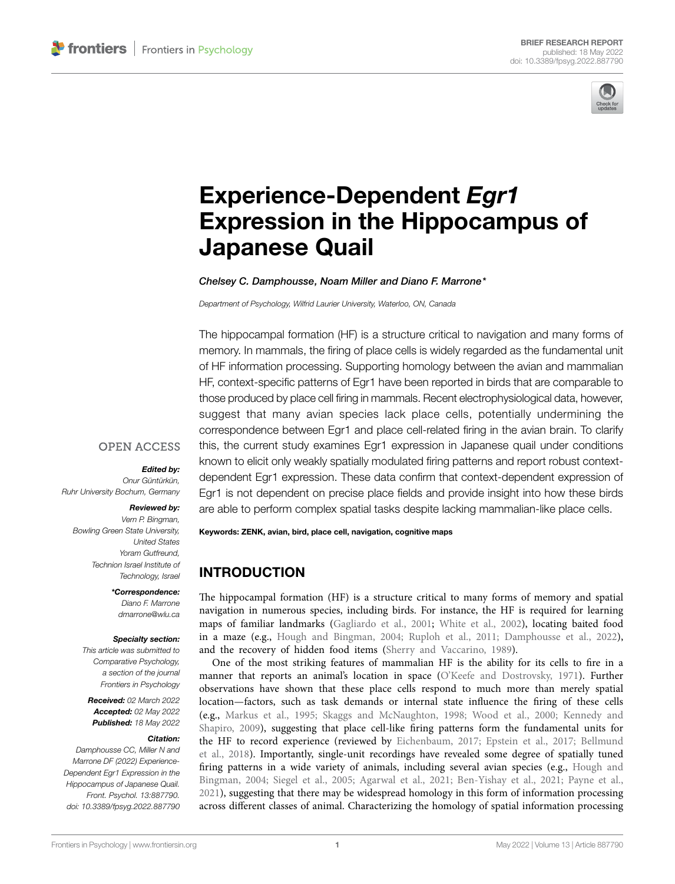

# [Experience-Dependent](https://www.frontiersin.org/articles/10.3389/fpsyg.2022.887790/full) *Egr1* [Expression in the Hippocampus of](https://www.frontiersin.org/articles/10.3389/fpsyg.2022.887790/full)  [Japanese Quail](https://www.frontiersin.org/articles/10.3389/fpsyg.2022.887790/full)

*Chelsey C. Damphousse, Noam Miller and Diano F. Marrone\**

*Department of Psychology, Wilfrid Laurier University, Waterloo, ON, Canada*

The hippocampal formation (HF) is a structure critical to navigation and many forms of memory. In mammals, the firing of place cells is widely regarded as the fundamental unit of HF information processing. Supporting homology between the avian and mammalian HF, context-specific patterns of Egr1 have been reported in birds that are comparable to those produced by place cell firing in mammals. Recent electrophysiological data, however, suggest that many avian species lack place cells, potentially undermining the correspondence between Egr1 and place cell-related firing in the avian brain. To clarify this, the current study examines Egr1 expression in Japanese quail under conditions known to elicit only weakly spatially modulated firing patterns and report robust contextdependent Egr1 expression. These data confirm that context-dependent expression of Egr1 is not dependent on precise place fields and provide insight into how these birds are able to perform complex spatial tasks despite lacking mammalian-like place cells.

#### **OPEN ACCESS**

*Edited by:* 

*Onur Güntürkün, Ruhr University Bochum, Germany*

#### *Reviewed by:*

*Vern P. Bingman, Bowling Green State University, United States Yoram Gutfreund, Technion Israel Institute of Technology, Israel*

#### *\*Correspondence:*

*Diano F. Marrone [dmarrone@wlu.ca](mailto:dmarrone@wlu.ca)*

#### *Specialty section:*

*This article was submitted to Comparative Psychology, a section of the journal Frontiers in Psychology*

*Received: 02 March 2022 Accepted: 02 May 2022 Published: 18 May 2022*

#### *Citation:*

*Damphousse CC, Miller N and Marrone DF (2022) Experience-Dependent Egr1 Expression in the Hippocampus of Japanese Quail. Front. Psychol. 13:887790. [doi: 10.3389/fpsyg.2022.887790](https://doi.org/10.3389/fpsyg.2022.887790)* Keywords: ZENK, avian, bird, place cell, navigation, cognitive maps

# INTRODUCTION

The hippocampal formation (HF) is a structure critical to many forms of memory and spatial navigation in numerous species, including birds. For instance, the HF is required for learning maps of familiar landmarks [\(Gagliardo et al., 2001](#page-4-0); [White et al., 2002](#page-5-0)), locating baited food in a maze (e.g., [Hough and Bingman, 2004;](#page-4-1) [Ruploh et al., 2011](#page-5-1); [Damphousse et al., 2022](#page-4-2)), and the recovery of hidden food items ([Sherry and Vaccarino, 1989\)](#page-5-2).

One of the most striking features of mammalian HF is the ability for its cells to fire in a manner that reports an animal's location in space ([O'Keefe and Dostrovsky, 1971\)](#page-5-3). Further observations have shown that these place cells respond to much more than merely spatial location—factors, such as task demands or internal state influence the firing of these cells (e.g., [Markus et al., 1995;](#page-5-4) [Skaggs and McNaughton, 1998;](#page-5-5) [Wood et al., 2000](#page-5-6); [Kennedy and](#page-5-7)  [Shapiro, 2009\)](#page-5-7), suggesting that place cell-like firing patterns form the fundamental units for the HF to record experience (reviewed by [Eichenbaum, 2017](#page-4-3); [Epstein et al., 2017](#page-4-4); [Bellmund](#page-4-5)  [et al., 2018\)](#page-4-5). Importantly, single-unit recordings have revealed some degree of spatially tuned firing patterns in a wide variety of animals, including several avian species (e.g., [Hough and](#page-4-1)  [Bingman, 2004;](#page-4-1) [Siegel et al., 2005](#page-5-8); [Agarwal et al., 2021](#page-4-6); [Ben-Yishay et al., 2021](#page-4-7); [Payne et al.,](#page-5-9)  [2021\)](#page-5-9), suggesting that there may be widespread homology in this form of information processing across different classes of animal. Characterizing the homology of spatial information processing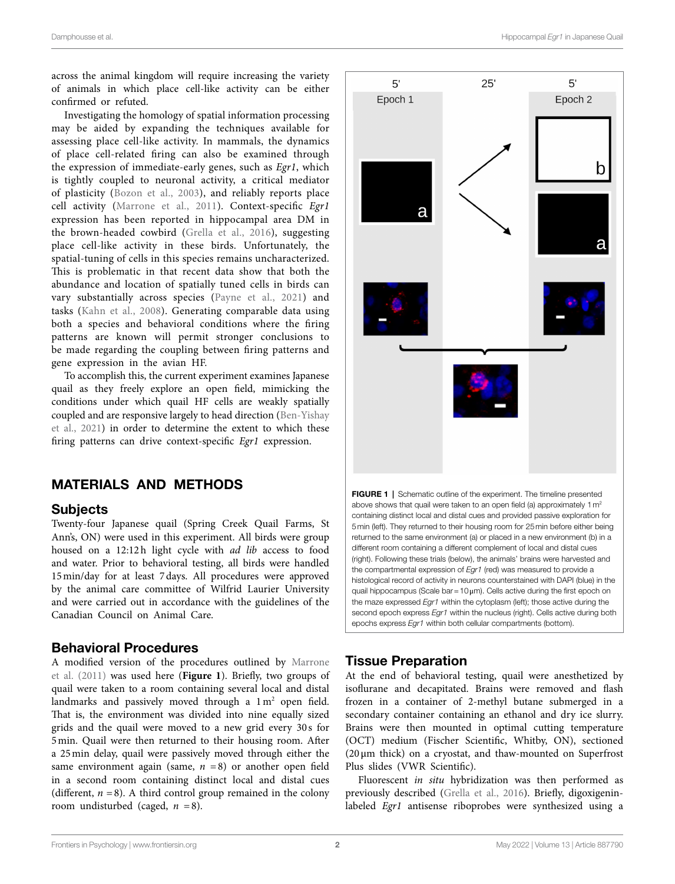across the animal kingdom will require increasing the variety of animals in which place cell-like activity can be either confirmed or refuted.

Investigating the homology of spatial information processing may be aided by expanding the techniques available for assessing place cell-like activity. In mammals, the dynamics of place cell-related firing can also be examined through the expression of immediate-early genes, such as *Egr1*, which is tightly coupled to neuronal activity, a critical mediator of plasticity ([Bozon et al., 2003\)](#page-4-8), and reliably reports place cell activity ([Marrone et al., 2011\)](#page-5-10). Context-specific *Egr1* expression has been reported in hippocampal area DM in the brown-headed cowbird ([Grella et al., 2016](#page-4-9)), suggesting place cell-like activity in these birds. Unfortunately, the spatial-tuning of cells in this species remains uncharacterized. This is problematic in that recent data show that both the abundance and location of spatially tuned cells in birds can vary substantially across species ([Payne et al., 2021](#page-5-9)) and tasks ([Kahn et al., 2008](#page-5-11)). Generating comparable data using both a species and behavioral conditions where the firing patterns are known will permit stronger conclusions to be made regarding the coupling between firing patterns and gene expression in the avian HF.

To accomplish this, the current experiment examines Japanese quail as they freely explore an open field, mimicking the conditions under which quail HF cells are weakly spatially coupled and are responsive largely to head direction [\(Ben-Yishay](#page-4-7)  [et al., 2021\)](#page-4-7) in order to determine the extent to which these firing patterns can drive context-specific *Egr1* expression.

## MATERIALS AND METHODS

#### **Subjects**

Twenty-four Japanese quail (Spring Creek Quail Farms, St Ann's, ON) were used in this experiment. All birds were group housed on a 12:12h light cycle with *ad lib* access to food and water. Prior to behavioral testing, all birds were handled 15min/day for at least 7days. All procedures were approved by the animal care committee of Wilfrid Laurier University and were carried out in accordance with the guidelines of the Canadian Council on Animal Care.

#### Behavioral Procedures

A modified version of the procedures outlined by [Marrone](#page-5-10)  [et al. \(2011\)](#page-5-10) was used here (**[Figure 1](#page-1-0)**). Briefly, two groups of quail were taken to a room containing several local and distal landmarks and passively moved through a  $1 \text{ m}^2$  open field. That is, the environment was divided into nine equally sized grids and the quail were moved to a new grid every 30 s for 5min. Quail were then returned to their housing room. After a 25min delay, quail were passively moved through either the same environment again (same,  $n = 8$ ) or another open field in a second room containing distinct local and distal cues (different,  $n = 8$ ). A third control group remained in the colony room undisturbed (caged,  $n = 8$ ).

<span id="page-1-0"></span>

## Tissue Preparation

At the end of behavioral testing, quail were anesthetized by isoflurane and decapitated. Brains were removed and flash frozen in a container of 2-methyl butane submerged in a secondary container containing an ethanol and dry ice slurry. Brains were then mounted in optimal cutting temperature (OCT) medium (Fischer Scientific, Whitby, ON), sectioned (20μm thick) on a cryostat, and thaw-mounted on Superfrost Plus slides (VWR Scientific).

Fluorescent *in situ* hybridization was then performed as previously described ([Grella et al., 2016](#page-4-9)). Briefly, digoxigeninlabeled *Egr1* antisense riboprobes were synthesized using a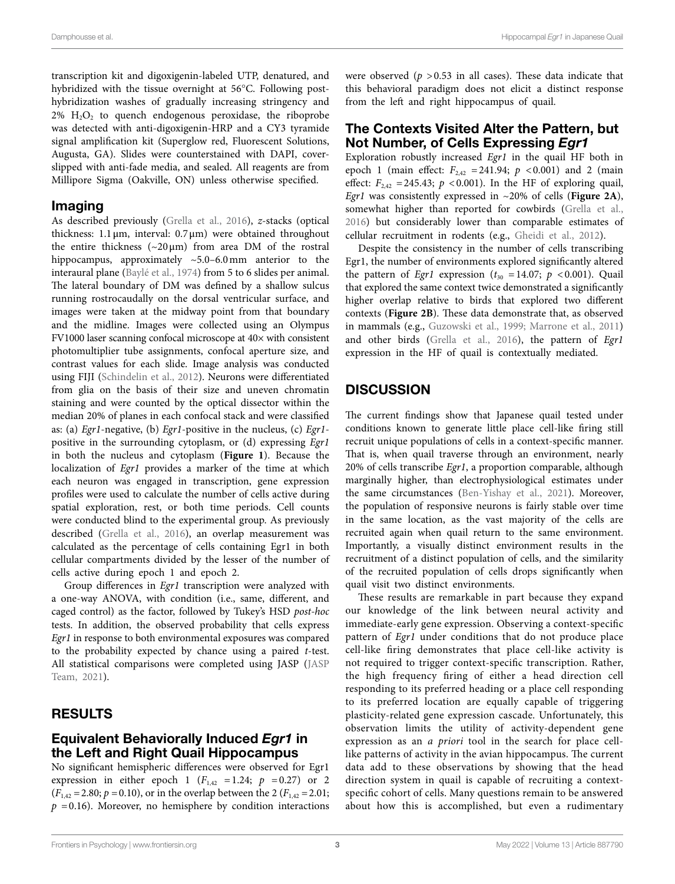transcription kit and digoxigenin-labeled UTP, denatured, and hybridized with the tissue overnight at 56°C. Following posthybridization washes of gradually increasing stringency and  $2\%$  H<sub>2</sub>O<sub>2</sub> to quench endogenous peroxidase, the riboprobe was detected with anti-digoxigenin-HRP and a CY3 tyramide signal amplification kit (Superglow red, Fluorescent Solutions, Augusta, GA). Slides were counterstained with DAPI, coverslipped with anti-fade media, and sealed. All reagents are from Millipore Sigma (Oakville, ON) unless otherwise specified.

#### Imaging

As described previously ([Grella et al., 2016\)](#page-4-9), *z*-stacks (optical thickness:  $1.1 \,\mu m$ , interval:  $0.7 \,\mu m$ ) were obtained throughout the entire thickness  $({\sim}20 \,\mu\text{m})$  from area DM of the rostral hippocampus, approximately ~5.0–6.0mm anterior to the interaural plane ([Baylé et al., 1974](#page-4-10)) from 5 to 6 slides per animal. The lateral boundary of DM was defined by a shallow sulcus running rostrocaudally on the dorsal ventricular surface, and images were taken at the midway point from that boundary and the midline. Images were collected using an Olympus FV1000 laser scanning confocal microscope at 40× with consistent photomultiplier tube assignments, confocal aperture size, and contrast values for each slide. Image analysis was conducted using FIJI ([Schindelin et al., 2012](#page-5-12)). Neurons were differentiated from glia on the basis of their size and uneven chromatin staining and were counted by the optical dissector within the median 20% of planes in each confocal stack and were classified as: (a) *Egr1*-negative, (b) *Egr1*-positive in the nucleus, (c) *Egr1* positive in the surrounding cytoplasm, or (d) expressing *Egr1* in both the nucleus and cytoplasm (**[Figure 1](#page-1-0)**). Because the localization of *Egr1* provides a marker of the time at which each neuron was engaged in transcription, gene expression profiles were used to calculate the number of cells active during spatial exploration, rest, or both time periods. Cell counts were conducted blind to the experimental group. As previously described [\(Grella et al., 2016](#page-4-9)), an overlap measurement was calculated as the percentage of cells containing Egr1 in both cellular compartments divided by the lesser of the number of cells active during epoch 1 and epoch 2.

Group differences in *Egr1* transcription were analyzed with a one-way ANOVA, with condition (i.e., same, different, and caged control) as the factor, followed by Tukey's HSD *post-hoc* tests. In addition, the observed probability that cells express *Egr1* in response to both environmental exposures was compared to the probability expected by chance using a paired *t*-test. All statistical comparisons were completed using JASP [\(JASP](#page-5-13)  [Team, 2021\)](#page-5-13).

## RESULTS

#### Equivalent Behaviorally Induced *Egr1* in the Left and Right Quail Hippocampus

No significant hemispheric differences were observed for Egr1 expression in either epoch 1 ( $F_{1,42}$  =1.24;  $p = 0.27$ ) or 2  $(F_{1,42} = 2.80; p = 0.10)$ , or in the overlap between the 2  $(F_{1,42} = 2.01;$  $p = 0.16$ ). Moreover, no hemisphere by condition interactions were observed  $(p > 0.53$  in all cases). These data indicate that this behavioral paradigm does not elicit a distinct response from the left and right hippocampus of quail.

#### The Contexts Visited Alter the Pattern, but Not Number, of Cells Expressing *Egr1*

Exploration robustly increased *Egr1* in the quail HF both in epoch 1 (main effect:  $F_{2,42} = 241.94$ ;  $p < 0.001$ ) and 2 (main effect:  $F_{242} = 245.43$ ;  $p < 0.001$ ). In the HF of exploring quail, *Egr1* was consistently expressed in ~20% of cells (**[Figure 2A](#page-3-0)**), somewhat higher than reported for cowbirds (Grella et al., [2016\)](#page-4-9) but considerably lower than comparable estimates of cellular recruitment in rodents (e.g., [Gheidi et al., 2012](#page-4-11)).

Despite the consistency in the number of cells transcribing Egr1, the number of environments explored significantly altered the pattern of *Egr1* expression ( $t_{30}$  =14.07;  $p$  <0.001). Quail that explored the same context twice demonstrated a significantly higher overlap relative to birds that explored two different contexts (**[Figure 2B](#page-3-0)**). These data demonstrate that, as observed in mammals (e.g., [Guzowski et al., 1999;](#page-4-12) [Marrone et al., 2011\)](#page-5-10) and other birds [\(Grella et al., 2016\)](#page-4-9), the pattern of *Egr1* expression in the HF of quail is contextually mediated.

## **DISCUSSION**

The current findings show that Japanese quail tested under conditions known to generate little place cell-like firing still recruit unique populations of cells in a context-specific manner. That is, when quail traverse through an environment, nearly 20% of cells transcribe *Egr1*, a proportion comparable, although marginally higher, than electrophysiological estimates under the same circumstances ([Ben-Yishay et al., 2021](#page-4-7)). Moreover, the population of responsive neurons is fairly stable over time in the same location, as the vast majority of the cells are recruited again when quail return to the same environment. Importantly, a visually distinct environment results in the recruitment of a distinct population of cells, and the similarity of the recruited population of cells drops significantly when quail visit two distinct environments.

These results are remarkable in part because they expand our knowledge of the link between neural activity and immediate-early gene expression. Observing a context-specific pattern of *Egr1* under conditions that do not produce place cell-like firing demonstrates that place cell-like activity is not required to trigger context-specific transcription. Rather, the high frequency firing of either a head direction cell responding to its preferred heading or a place cell responding to its preferred location are equally capable of triggering plasticity-related gene expression cascade. Unfortunately, this observation limits the utility of activity-dependent gene expression as an *a priori* tool in the search for place celllike patterns of activity in the avian hippocampus. The current data add to these observations by showing that the head direction system in quail is capable of recruiting a contextspecific cohort of cells. Many questions remain to be answered about how this is accomplished, but even a rudimentary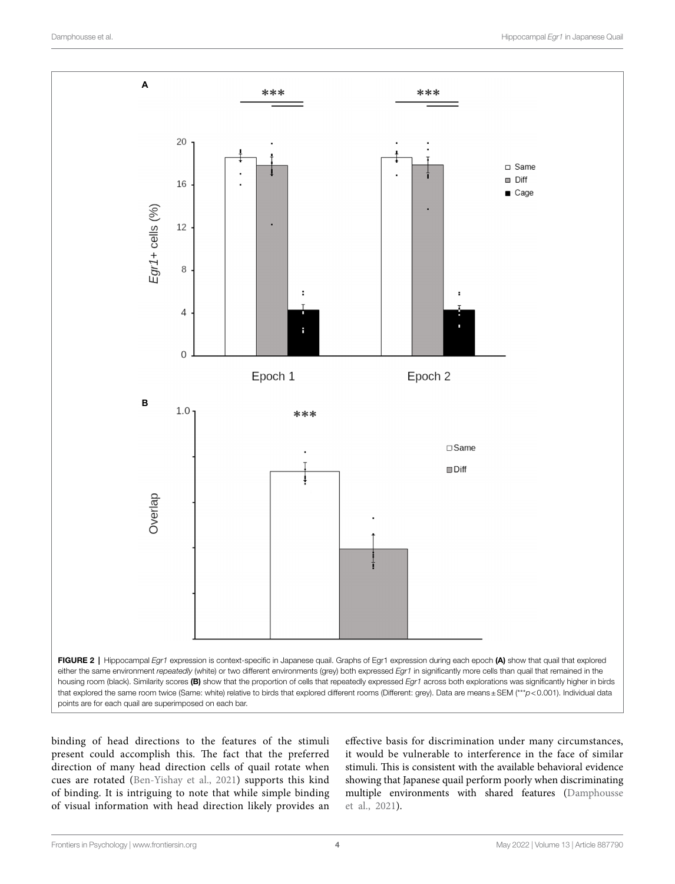<span id="page-3-0"></span>

binding of head directions to the features of the stimuli present could accomplish this. The fact that the preferred direction of many head direction cells of quail rotate when cues are rotated ([Ben-Yishay et al., 2021\)](#page-4-7) supports this kind of binding. It is intriguing to note that while simple binding of visual information with head direction likely provides an

effective basis for discrimination under many circumstances, it would be vulnerable to interference in the face of similar stimuli. This is consistent with the available behavioral evidence showing that Japanese quail perform poorly when discriminating multiple environments with shared features [\(Damphousse](#page-4-13)  [et al., 2021](#page-4-13)).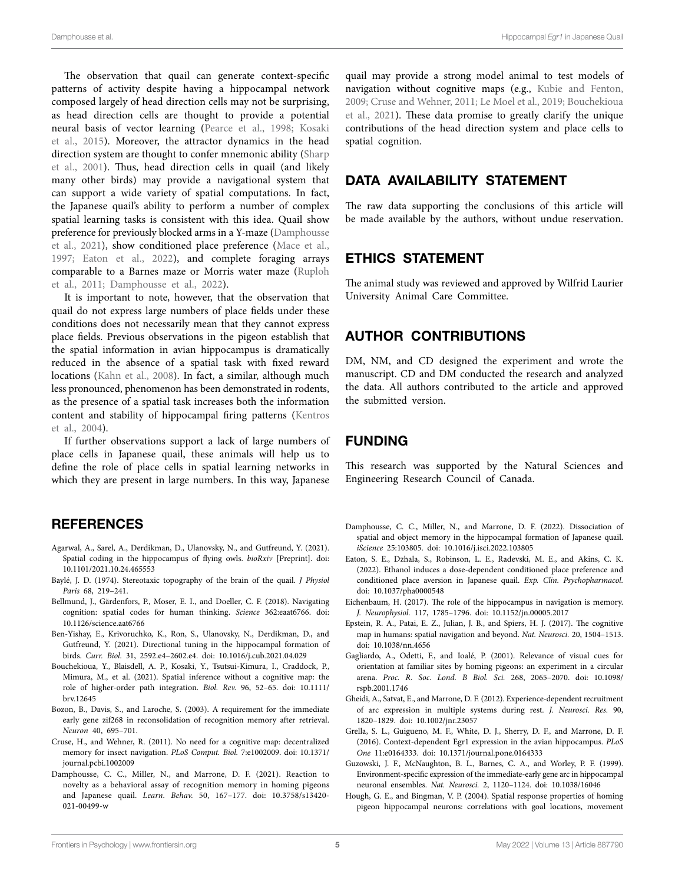The observation that quail can generate context-specific patterns of activity despite having a hippocampal network composed largely of head direction cells may not be surprising, as head direction cells are thought to provide a potential neural basis of vector learning [\(Pearce et al., 1998](#page-5-14); [Kosaki](#page-5-15)  [et al., 2015\)](#page-5-15). Moreover, the attractor dynamics in the head direction system are thought to confer mnemonic ability [\(Sharp](#page-5-16)  [et al., 2001](#page-5-16)). Thus, head direction cells in quail (and likely many other birds) may provide a navigational system that can support a wide variety of spatial computations. In fact, the Japanese quail's ability to perform a number of complex spatial learning tasks is consistent with this idea. Quail show preference for previously blocked arms in a Y-maze ([Damphousse](#page-4-13)  [et al., 2021\)](#page-4-13), show conditioned place preference ([Mace et al.,](#page-5-17)  [1997;](#page-5-17) [Eaton et al., 2022\)](#page-4-14), and complete foraging arrays comparable to a Barnes maze or Morris water maze ([Ruploh](#page-5-1)  [et al., 2011;](#page-5-1) [Damphousse et al., 2022](#page-4-2)).

It is important to note, however, that the observation that quail do not express large numbers of place fields under these conditions does not necessarily mean that they cannot express place fields. Previous observations in the pigeon establish that the spatial information in avian hippocampus is dramatically reduced in the absence of a spatial task with fixed reward locations [\(Kahn et al., 2008\)](#page-5-11). In fact, a similar, although much less pronounced, phenomenon has been demonstrated in rodents, as the presence of a spatial task increases both the information content and stability of hippocampal firing patterns ([Kentros](#page-5-18)  [et al., 2004](#page-5-18)).

If further observations support a lack of large numbers of place cells in Japanese quail, these animals will help us to define the role of place cells in spatial learning networks in which they are present in large numbers. In this way, Japanese

#### **REFERENCES**

- <span id="page-4-6"></span>Agarwal, A., Sarel, A., Derdikman, D., Ulanovsky, N., and Gutfreund, Y. (2021). Spatial coding in the hippocampus of flying owls. *bioRxiv* [Preprint]. doi: [10.1101/2021.10.24.465553](https://doi.org/10.1101/2021.10.24.465553)
- <span id="page-4-10"></span>Baylé, J. D. (1974). Stereotaxic topography of the brain of the quail. *J Physiol Paris* 68, 219–241.
- <span id="page-4-5"></span>Bellmund, J., Gärdenfors, P., Moser, E. I., and Doeller, C. F. (2018). Navigating cognition: spatial codes for human thinking. *Science* 362:eaat6766. doi: [10.1126/science.aat6766](https://doi.org/10.1126/science.aat6766)
- <span id="page-4-7"></span>Ben-Yishay, E., Krivoruchko, K., Ron, S., Ulanovsky, N., Derdikman, D., and Gutfreund, Y. (2021). Directional tuning in the hippocampal formation of birds. *Curr. Biol.* 31, 2592.e4–2602.e4. doi: [10.1016/j.cub.2021.04.029](https://doi.org/10.1016/j.cub.2021.04.029)
- <span id="page-4-16"></span>Bouchekioua, Y., Blaisdell, A. P., Kosaki, Y., Tsutsui-Kimura, I., Craddock, P., Mimura, M., et al. (2021). Spatial inference without a cognitive map: the role of higher-order path integration. *Biol. Rev.* 96, 52–65. doi: [10.1111/](https://doi.org/10.1111/brv.12645) [brv.12645](https://doi.org/10.1111/brv.12645)
- <span id="page-4-8"></span>Bozon, B., Davis, S., and Laroche, S. (2003). A requirement for the immediate early gene zif268 in reconsolidation of recognition memory after retrieval. *Neuron* 40, 695–701.
- <span id="page-4-15"></span>Cruse, H., and Wehner, R. (2011). No need for a cognitive map: decentralized memory for insect navigation. *PLoS Comput. Biol.* 7:e1002009. doi: [10.1371/](https://doi.org/10.1371/journal.pcbi.1002009) [journal.pcbi.1002009](https://doi.org/10.1371/journal.pcbi.1002009)
- <span id="page-4-13"></span>Damphousse, C. C., Miller, N., and Marrone, D. F. (2021). Reaction to novelty as a behavioral assay of recognition memory in homing pigeons and Japanese quail. *Learn. Behav.* 50, 167–177. doi: [10.3758/s13420-](https://doi.org/10.3758/s13420-021-00499-w) [021-00499-w](https://doi.org/10.3758/s13420-021-00499-w)

quail may provide a strong model animal to test models of navigation without cognitive maps (e.g., [Kubie and Fenton,](#page-5-19)  [2009;](#page-5-19) [Cruse and Wehner, 2011](#page-4-15); [Le Moel et al., 2019](#page-5-20); [Bouchekioua](#page-4-16)  [et al., 2021\)](#page-4-16). These data promise to greatly clarify the unique contributions of the head direction system and place cells to spatial cognition.

## DATA AVAILABILITY STATEMENT

The raw data supporting the conclusions of this article will be made available by the authors, without undue reservation.

#### ETHICS STATEMENT

The animal study was reviewed and approved by Wilfrid Laurier University Animal Care Committee.

#### AUTHOR CONTRIBUTIONS

DM, NM, and CD designed the experiment and wrote the manuscript. CD and DM conducted the research and analyzed the data. All authors contributed to the article and approved the submitted version.

#### FUNDING

This research was supported by the Natural Sciences and Engineering Research Council of Canada.

- <span id="page-4-2"></span>Damphousse, C. C., Miller, N., and Marrone, D. F. (2022). Dissociation of spatial and object memory in the hippocampal formation of Japanese quail. *iScience* 25:103805. doi: [10.1016/j.isci.2022.103805](https://doi.org/10.1016/j.isci.2022.103805)
- <span id="page-4-14"></span>Eaton, S. E., Dzhala, S., Robinson, L. E., Radevski, M. E., and Akins, C. K. (2022). Ethanol induces a dose-dependent conditioned place preference and conditioned place aversion in Japanese quail. *Exp. Clin. Psychopharmacol.* doi: [10.1037/pha0000548](https://doi.org/10.1037/pha0000548)
- <span id="page-4-3"></span>Eichenbaum, H. (2017). The role of the hippocampus in navigation is memory. *J. Neurophysiol.* 117, 1785–1796. doi: [10.1152/jn.00005.2017](https://doi.org/10.1152/jn.00005.2017)
- <span id="page-4-4"></span>Epstein, R. A., Patai, E. Z., Julian, J. B., and Spiers, H. J. (2017). The cognitive map in humans: spatial navigation and beyond. *Nat. Neurosci.* 20, 1504–1513. doi: [10.1038/nn.4656](https://doi.org/10.1038/nn.4656)
- <span id="page-4-0"></span>Gagliardo, A., Odetti, F., and Ioalé, P. (2001). Relevance of visual cues for orientation at familiar sites by homing pigeons: an experiment in a circular arena. *Proc. R. Soc. Lond. B Biol. Sci.* 268, 2065–2070. doi: [10.1098/](https://doi.org/10.1098/rspb.2001.1746) [rspb.2001.1746](https://doi.org/10.1098/rspb.2001.1746)
- <span id="page-4-11"></span>Gheidi, A., Satvat, E., and Marrone, D. F. (2012). Experience-dependent recruitment of arc expression in multiple systems during rest. *J. Neurosci. Res.* 90, 1820–1829. doi: [10.1002/jnr.23057](https://doi.org/10.1002/jnr.23057)
- <span id="page-4-9"></span>Grella, S. L., Guigueno, M. F., White, D. J., Sherry, D. F., and Marrone, D. F. (2016). Context-dependent Egr1 expression in the avian hippocampus. *PLoS One* 11:e0164333. doi: [10.1371/journal.pone.0164333](https://doi.org/10.1371/journal.pone.0164333)
- <span id="page-4-12"></span>Guzowski, J. F., McNaughton, B. L., Barnes, C. A., and Worley, P. F. (1999). Environment-specific expression of the immediate-early gene arc in hippocampal neuronal ensembles. *Nat. Neurosci.* 2, 1120–1124. doi: [10.1038/16046](https://doi.org/10.1038/16046)
- <span id="page-4-1"></span>Hough, G. E., and Bingman, V. P. (2004). Spatial response properties of homing pigeon hippocampal neurons: correlations with goal locations, movement